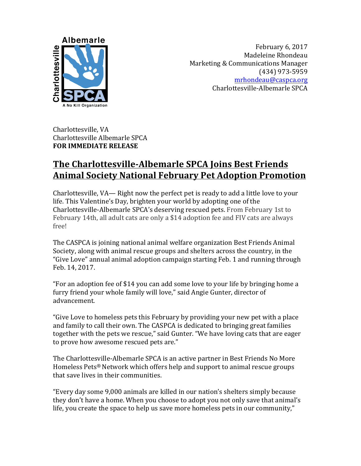

February 6, 2017 Madeleine Rhondeau Marketing & Communications Manager (434) 973-5959 mrhondeau@caspca.org Charlottesville-Albemarle SPCA

Charlottesville, VA Charlottesville Albemarle SPCA **FOR IMMEDIATE RELEASE** 

## **The Charlottesville-Albemarle SPCA Joins Best Friends Animal Society National February Pet Adoption Promotion**

Charlottesville,  $VA$ — Right now the perfect pet is ready to add a little love to your life. This Valentine's Day, brighten your world by adopting one of the Charlottesville-Albemarle SPCA's deserving rescued pets. From February 1st to February 14th, all adult cats are only a \$14 adoption fee and FIV cats are always free!

The CASPCA is joining national animal welfare organization Best Friends Animal Society, along with animal rescue groups and shelters across the country, in the "Give Love" annual animal adoption campaign starting Feb. 1 and running through Feb. 14, 2017. 

"For an adoption fee of \$14 you can add some love to your life by bringing home a furry friend your whole family will love," said Angie Gunter, director of advancement.

"Give Love to homeless pets this February by providing your new pet with a place and family to call their own. The CASPCA is dedicated to bringing great families together with the pets we rescue," said Gunter. "We have loving cats that are eager to prove how awesome rescued pets are."

The Charlottesville-Albemarle SPCA is an active partner in Best Friends No More Homeless Pets<sup>®</sup> Network which offers help and support to animal rescue groups that save lives in their communities.

"Every day some 9,000 animals are killed in our nation's shelters simply because they don't have a home. When you choose to adopt you not only save that animal's life, you create the space to help us save more homeless pets in our community,"